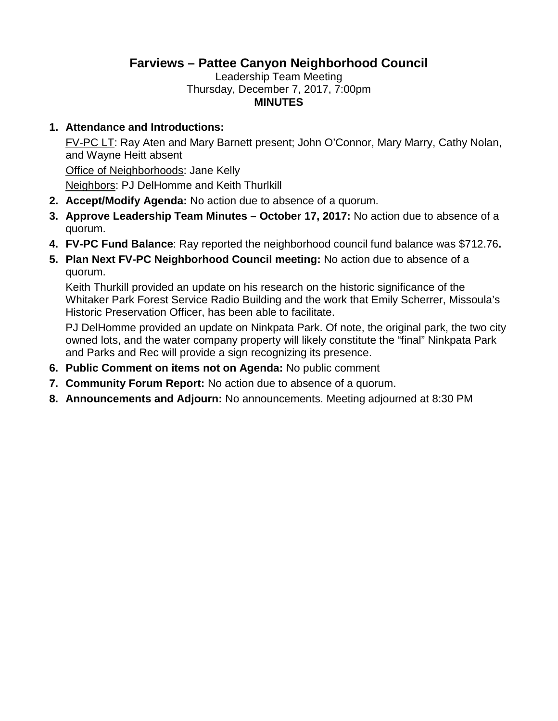## **Farviews – Pattee Canyon Neighborhood Council**

Leadership Team Meeting Thursday, December 7, 2017, 7:00pm **MINUTES**

## **1. Attendance and Introductions:**

FV-PC LT: Ray Aten and Mary Barnett present; John O'Connor, Mary Marry, Cathy Nolan, and Wayne Heitt absent

Office of Neighborhoods: Jane Kelly Neighbors: PJ DelHomme and Keith Thurlkill

- **2. Accept/Modify Agenda:** No action due to absence of a quorum.
- **3. Approve Leadership Team Minutes October 17, 2017:** No action due to absence of a quorum.
- **4. FV-PC Fund Balance**: Ray reported the neighborhood council fund balance was \$712.76**.**
- **5. Plan Next FV-PC Neighborhood Council meeting:** No action due to absence of a quorum.

Keith Thurkill provided an update on his research on the historic significance of the Whitaker Park Forest Service Radio Building and the work that Emily Scherrer, Missoula's Historic Preservation Officer, has been able to facilitate.

PJ DelHomme provided an update on Ninkpata Park. Of note, the original park, the two city owned lots, and the water company property will likely constitute the "final" Ninkpata Park and Parks and Rec will provide a sign recognizing its presence.

- **6. Public Comment on items not on Agenda:** No public comment
- **7. Community Forum Report:** No action due to absence of a quorum.
- **8. Announcements and Adjourn:** No announcements. Meeting adjourned at 8:30 PM